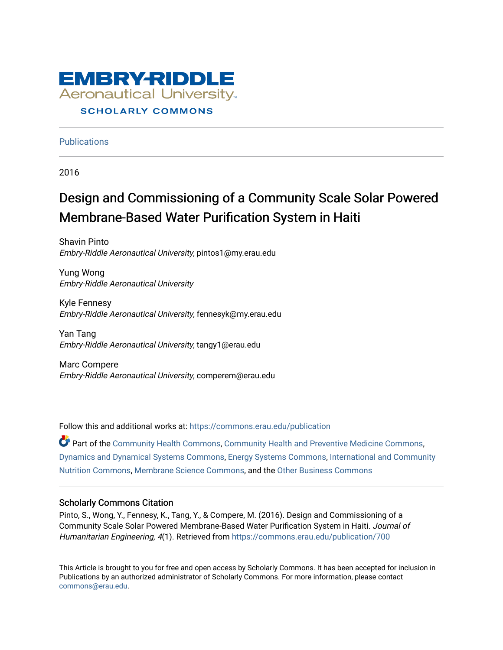

## **Publications**

2016

## Design and Commissioning of a Community Scale Solar Powered Membrane-Based Water Purification System in Haiti

Shavin Pinto Embry-Riddle Aeronautical University, pintos1@my.erau.edu

Yung Wong Embry-Riddle Aeronautical University

Kyle Fennesy Embry-Riddle Aeronautical University, fennesyk@my.erau.edu

Yan Tang Embry-Riddle Aeronautical University, tangy1@erau.edu

Marc Compere Embry-Riddle Aeronautical University, comperem@erau.edu

Follow this and additional works at: [https://commons.erau.edu/publication](https://commons.erau.edu/publication?utm_source=commons.erau.edu%2Fpublication%2F700&utm_medium=PDF&utm_campaign=PDFCoverPages) 

Part of the [Community Health Commons,](http://network.bepress.com/hgg/discipline/714?utm_source=commons.erau.edu%2Fpublication%2F700&utm_medium=PDF&utm_campaign=PDFCoverPages) [Community Health and Preventive Medicine Commons](http://network.bepress.com/hgg/discipline/744?utm_source=commons.erau.edu%2Fpublication%2F700&utm_medium=PDF&utm_campaign=PDFCoverPages), [Dynamics and Dynamical Systems Commons](http://network.bepress.com/hgg/discipline/281?utm_source=commons.erau.edu%2Fpublication%2F700&utm_medium=PDF&utm_campaign=PDFCoverPages), [Energy Systems Commons](http://network.bepress.com/hgg/discipline/299?utm_source=commons.erau.edu%2Fpublication%2F700&utm_medium=PDF&utm_campaign=PDFCoverPages), [International and Community](http://network.bepress.com/hgg/discipline/98?utm_source=commons.erau.edu%2Fpublication%2F700&utm_medium=PDF&utm_campaign=PDFCoverPages) [Nutrition Commons](http://network.bepress.com/hgg/discipline/98?utm_source=commons.erau.edu%2Fpublication%2F700&utm_medium=PDF&utm_campaign=PDFCoverPages), [Membrane Science Commons,](http://network.bepress.com/hgg/discipline/244?utm_source=commons.erau.edu%2Fpublication%2F700&utm_medium=PDF&utm_campaign=PDFCoverPages) and the [Other Business Commons](http://network.bepress.com/hgg/discipline/647?utm_source=commons.erau.edu%2Fpublication%2F700&utm_medium=PDF&utm_campaign=PDFCoverPages)

### Scholarly Commons Citation

Pinto, S., Wong, Y., Fennesy, K., Tang, Y., & Compere, M. (2016). Design and Commissioning of a Community Scale Solar Powered Membrane-Based Water Purification System in Haiti. Journal of Humanitarian Engineering, 4(1). Retrieved from [https://commons.erau.edu/publication/700](https://commons.erau.edu/publication/700?utm_source=commons.erau.edu%2Fpublication%2F700&utm_medium=PDF&utm_campaign=PDFCoverPages) 

This Article is brought to you for free and open access by Scholarly Commons. It has been accepted for inclusion in Publications by an authorized administrator of Scholarly Commons. For more information, please contact [commons@erau.edu](mailto:commons@erau.edu).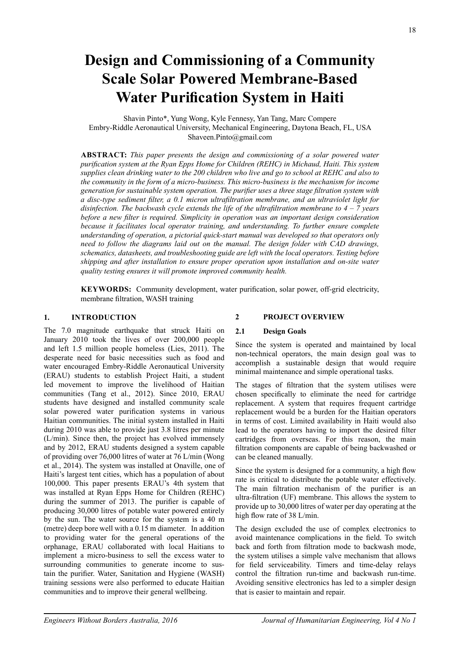## **Design and Commissioning of a Community Scale Solar Powered Membrane-Based Water Purification System in Haiti**

Shavin Pinto\*, Yung Wong, Kyle Fennesy, Yan Tang, Marc Compere Embry-Riddle Aeronautical University, Mechanical Engineering, Daytona Beach, FL, USA Shaveen.Pinto@gmail.com

**ABSTRACT:** *This paper presents the design and commissioning of a solar powered water purification system at the Ryan Epps Home for Children (REHC) in Michaud, Haiti. This system supplies clean drinking water to the 200 children who live and go to school at REHC and also to the community in the form of a micro-business. This micro-business is the mechanism for income generation for sustainable system operation. The purifier uses a three stage filtration system with a disc-type sediment filter, a 0.1 micron ultrafiltration membrane, and an ultraviolet light for disinfection. The backwash cycle extends the life of the ultrafiltration membrane to 4 – 7 years before a new filter is required. Simplicity in operation was an important design consideration because it facilitates local operator training, and understanding. To further ensure complete understanding of operation, a pictorial quick-start manual was developed so that operators only need to follow the diagrams laid out on the manual. The design folder with CAD drawings, schematics, datasheets, and troubleshooting guide are left with the local operators. Testing before shipping and after installation to ensure proper operation upon installation and on-site water quality testing ensures it will promote improved community health.*

**KEYWORDS:** Community development, water purification, solar power, off-grid electricity, membrane filtration, WASH training

### **1. INTRODUCTION**

The 7.0 magnitude earthquake that struck Haiti on January 2010 took the lives of over 200,000 people and left 1.5 million people homeless (Lies, 2011). The desperate need for basic necessities such as food and water encouraged Embry-Riddle Aeronautical University (ERAU) students to establish Project Haiti, a student led movement to improve the livelihood of Haitian communities (Tang et al., 2012). Since 2010, ERAU students have designed and installed community scale solar powered water purification systems in various Haitian communities. The initial system installed in Haiti during 2010 was able to provide just 3.8 litres per minute (L/min). Since then, the project has evolved immensely and by 2012, ERAU students designed a system capable of providing over 76,000 litres of water at 76 L/min (Wong et al., 2014). The system was installed at Onaville, one of Haiti's largest tent cities, which has a population of about 100,000. This paper presents ERAU's 4th system that was installed at Ryan Epps Home for Children (REHC) during the summer of 2013. The purifier is capable of producing 30,000 litres of potable water powered entirely by the sun. The water source for the system is a 40 m (metre) deep bore well with a 0.15 m diameter. In addition to providing water for the general operations of the orphanage, ERAU collaborated with local Haitians to implement a micro-business to sell the excess water to surrounding communities to generate income to sustain the purifier. Water, Sanitation and Hygiene (WASH) training sessions were also performed to educate Haitian communities and to improve their general wellbeing.

#### **2 PROJECT OVERVIEW**

#### **2.1 Design Goals**

Since the system is operated and maintained by local non-technical operators, the main design goal was to accomplish a sustainable design that would require minimal maintenance and simple operational tasks.

The stages of filtration that the system utilises were chosen specifically to eliminate the need for cartridge replacement. A system that requires frequent cartridge replacement would be a burden for the Haitian operators in terms of cost. Limited availability in Haiti would also lead to the operators having to import the desired filter cartridges from overseas. For this reason, the main filtration components are capable of being backwashed or can be cleaned manually.

Since the system is designed for a community, a high flow rate is critical to distribute the potable water effectively. The main filtration mechanism of the purifier is an ultra-filtration (UF) membrane. This allows the system to provide up to 30,000 litres of water per day operating at the high flow rate of 38 L/min.

The design excluded the use of complex electronics to avoid maintenance complications in the field. To switch back and forth from filtration mode to backwash mode, the system utilises a simple valve mechanism that allows for field serviceability. Timers and time-delay relays control the filtration run-time and backwash run-time. Avoiding sensitive electronics has led to a simpler design that is easier to maintain and repair.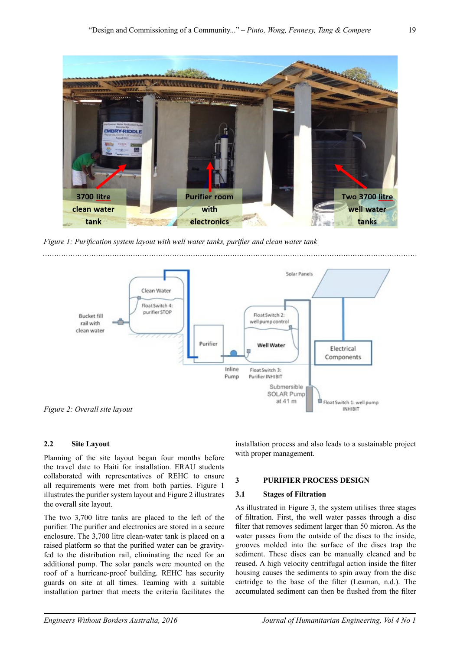

*Figure 1: Purification system layout with well water tanks, purifier and clean water tank*



#### **2.2 Site Layout**

Planning of the site layout began four months before the travel date to Haiti for installation. ERAU students collaborated with representatives of REHC to ensure all requirements were met from both parties. Figure 1 illustrates the purifier system layout and Figure 2 illustrates the overall site layout.

The two 3,700 litre tanks are placed to the left of the purifier. The purifier and electronics are stored in a secure enclosure. The 3,700 litre clean-water tank is placed on a raised platform so that the purified water can be gravityfed to the distribution rail, eliminating the need for an additional pump. The solar panels were mounted on the roof of a hurricane-proof building. REHC has security guards on site at all times. Teaming with a suitable installation partner that meets the criteria facilitates the installation process and also leads to a sustainable project with proper management.

#### **3 PURIFIER PROCESS DESIGN**

#### **3.1 Stages of Filtration**

As illustrated in Figure 3, the system utilises three stages of filtration. First, the well water passes through a disc filter that removes sediment larger than 50 micron. As the water passes from the outside of the discs to the inside, grooves molded into the surface of the discs trap the sediment. These discs can be manually cleaned and be reused. A high velocity centrifugal action inside the filter housing causes the sediments to spin away from the disc cartridge to the base of the filter (Leaman, n.d.). The accumulated sediment can then be flushed from the filter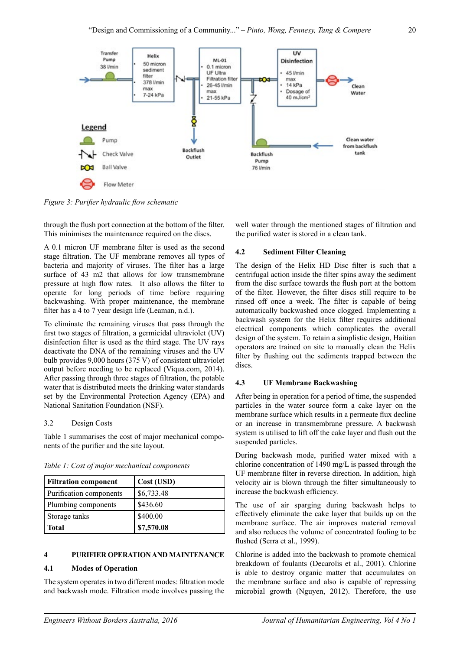

*Figure 3: Purifier hydraulic flow schematic*

through the flush port connection at the bottom of the filter. This minimises the maintenance required on the discs.

A 0.1 micron UF membrane filter is used as the second stage filtration. The UF membrane removes all types of bacteria and majority of viruses. The filter has a large surface of 43 m2 that allows for low transmembrane pressure at high flow rates. It also allows the filter to operate for long periods of time before requiring backwashing. With proper maintenance, the membrane filter has a 4 to 7 year design life (Leaman, n.d.).

To eliminate the remaining viruses that pass through the first two stages of filtration, a germicidal ultraviolet (UV) disinfection filter is used as the third stage. The UV rays deactivate the DNA of the remaining viruses and the UV bulb provides 9,000 hours (375 V) of consistent ultraviolet output before needing to be replaced (Viqua.com, 2014). After passing through three stages of filtration, the potable water that is distributed meets the drinking water standards set by the Environmental Protection Agency (EPA) and National Sanitation Foundation (NSF).

#### 3.2 Design Costs

Table 1 summarises the cost of major mechanical components of the purifier and the site layout.

*Table 1: Cost of major mechanical components*

| <b>Filtration component</b> | Cost (USD) |
|-----------------------------|------------|
| Purification components     | \$6,733.48 |
| Plumbing components         | \$436.60   |
| Storage tanks               | \$400.00   |
| <b>Total</b>                | \$7,570.08 |

#### **4 PURIFIER OPERATION AND MAINTENANCE**

#### **4.1 Modes of Operation**

The system operates in two different modes: filtration mode and backwash mode. Filtration mode involves passing the

well water through the mentioned stages of filtration and the purified water is stored in a clean tank.

#### **4.2 Sediment Filter Cleaning**

The design of the Helix HD Disc filter is such that a centrifugal action inside the filter spins away the sediment from the disc surface towards the flush port at the bottom of the filter. However, the filter discs still require to be rinsed off once a week. The filter is capable of being automatically backwashed once clogged. Implementing a backwash system for the Helix filter requires additional electrical components which complicates the overall design of the system. To retain a simplistic design, Haitian operators are trained on site to manually clean the Helix filter by flushing out the sediments trapped between the discs.

#### **4.3 UF Membrane Backwashing**

After being in operation for a period of time, the suspended particles in the water source form a cake layer on the membrane surface which results in a permeate flux decline or an increase in transmembrane pressure. A backwash system is utilised to lift off the cake layer and flush out the suspended particles.

During backwash mode, purified water mixed with a chlorine concentration of 1490 mg/L is passed through the UF membrane filter in reverse direction. In addition, high velocity air is blown through the filter simultaneously to increase the backwash efficiency.

The use of air sparging during backwash helps to effectively eliminate the cake layer that builds up on the membrane surface. The air improves material removal and also reduces the volume of concentrated fouling to be flushed (Serra et al., 1999).

Chlorine is added into the backwash to promote chemical breakdown of foulants (Decarolis et al., 2001). Chlorine is able to destroy organic matter that accumulates on the membrane surface and also is capable of repressing microbial growth (Nguyen, 2012). Therefore, the use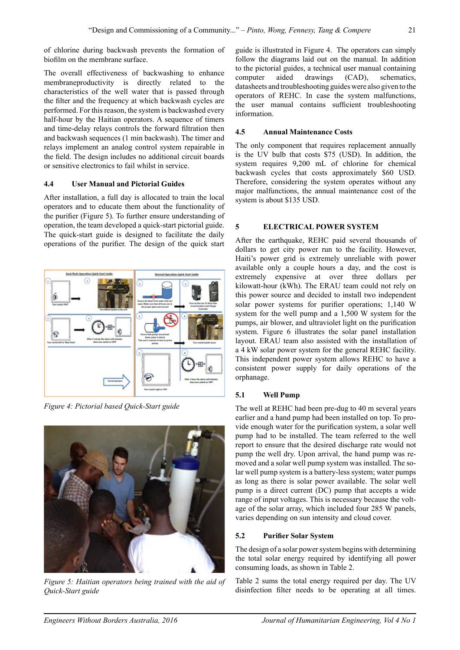of chlorine during backwash prevents the formation of biofilm on the membrane surface.

The overall effectiveness of backwashing to enhance membraneproductivity is directly related to the characteristics of the well water that is passed through the filter and the frequency at which backwash cycles are performed. For this reason, the system is backwashed every half-hour by the Haitian operators. A sequence of timers and time-delay relays controls the forward filtration then and backwash sequences (1 min backwash). The timer and relays implement an analog control system repairable in the field. The design includes no additional circuit boards or sensitive electronics to fail whilst in service.

#### **4.4 User Manual and Pictorial Guides**

After installation, a full day is allocated to train the local operators and to educate them about the functionality of the purifier (Figure 5). To further ensure understanding of operation, the team developed a quick-start pictorial guide. The quick-start guide is designed to facilitate the daily operations of the purifier. The design of the quick start



*Figure 4: Pictorial based Quick-Start guide*



*Figure 5: Haitian operators being trained with the aid of Quick-Start guide*

guide is illustrated in Figure 4. The operators can simply follow the diagrams laid out on the manual. In addition to the pictorial guides, a technical user manual containing computer aided drawings (CAD), schematics, datasheets and troubleshooting guides were also given to the operators of REHC. In case the system malfunctions, the user manual contains sufficient troubleshooting information.

#### **4.5 Annual Maintenance Costs**

The only component that requires replacement annually is the UV bulb that costs \$75 (USD). In addition, the system requires 9,200 mL of chlorine for chemical backwash cycles that costs approximately \$60 USD. Therefore, considering the system operates without any major malfunctions, the annual maintenance cost of the system is about \$135 USD.

#### **5 ELECTRICAL POWER SYSTEM**

After the earthquake, REHC paid several thousands of dollars to get city power run to the facility. However, Haiti's power grid is extremely unreliable with power available only a couple hours a day, and the cost is extremely expensive at over three dollars per kilowatt-hour (kWh). The ERAU team could not rely on this power source and decided to install two independent solar power systems for purifier operations; 1,140 W system for the well pump and a 1,500 W system for the pumps, air blower, and ultraviolet light on the purification system. Figure 6 illustrates the solar panel installation layout. ERAU team also assisted with the installation of a 4 kW solar power system for the general REHC facility. This independent power system allows REHC to have a consistent power supply for daily operations of the orphanage.

#### **5.1 Well Pump**

The well at REHC had been pre-dug to 40 m several years earlier and a hand pump had been installed on top. To provide enough water for the purification system, a solar well pump had to be installed. The team referred to the well report to ensure that the desired discharge rate would not pump the well dry. Upon arrival, the hand pump was removed and a solar well pump system was installed. The solar well pump system is a battery-less system; water pumps as long as there is solar power available. The solar well pump is a direct current (DC) pump that accepts a wide range of input voltages. This is necessary because the voltage of the solar array, which included four 285 W panels, varies depending on sun intensity and cloud cover.

#### **5.2 Purifier Solar System**

The design of a solar power system begins with determining the total solar energy required by identifying all power consuming loads, as shown in Table 2.

Table 2 sums the total energy required per day. The UV disinfection filter needs to be operating at all times.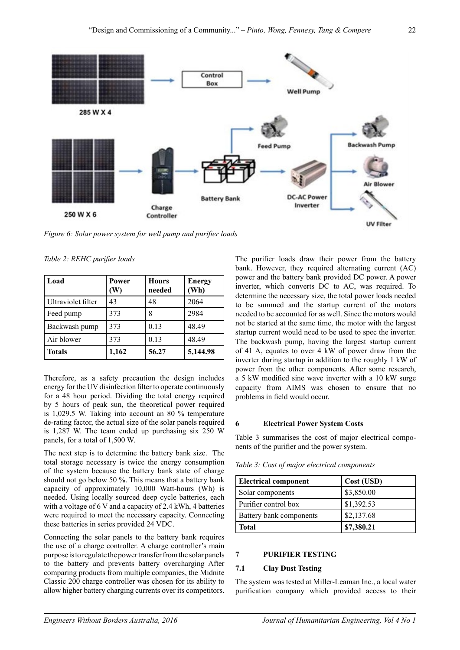

*Figure 6: Solar power system for well pump and purifier loads*

*Table 2: REHC purifier loads*

| Load               | Power<br>W) | <b>Hours</b><br>needed | <b>Energy</b><br>$(\mathbf{W}\mathbf{h})$ |
|--------------------|-------------|------------------------|-------------------------------------------|
| Ultraviolet filter | 43          | 48                     | 2064                                      |
| Feed pump          | 373         | 8                      | 2984                                      |
| Backwash pump      | 373         | 0.13                   | 48.49                                     |
| Air blower         | 373         | 0.13                   | 48.49                                     |
| <b>Totals</b>      | 1,162       | 56.27                  | 5,144.98                                  |

Therefore, as a safety precaution the design includes energy for the UV disinfection filter to operate continuously for a 48 hour period. Dividing the total energy required by 5 hours of peak sun, the theoretical power required is 1,029.5 W. Taking into account an 80 % temperature de-rating factor, the actual size of the solar panels required is 1,287 W. The team ended up purchasing six 250 W panels, for a total of 1,500 W.

The next step is to determine the battery bank size. The total storage necessary is twice the energy consumption of the system because the battery bank state of charge should not go below 50 %. This means that a battery bank capacity of approximately 10,000 Watt-hours (Wh) is needed. Using locally sourced deep cycle batteries, each with a voltage of 6 V and a capacity of 2.4 kWh, 4 batteries were required to meet the necessary capacity. Connecting these batteries in series provided 24 VDC.

Connecting the solar panels to the battery bank requires the use of a charge controller. A charge controller's main purpose is to regulate the power transfer from the solar panels to the battery and prevents battery overcharging After comparing products from multiple companies, the Midnite Classic 200 charge controller was chosen for its ability to allow higher battery charging currents over its competitors. The purifier loads draw their power from the battery bank. However, they required alternating current (AC) power and the battery bank provided DC power. A power inverter, which converts DC to AC, was required. To determine the necessary size, the total power loads needed to be summed and the startup current of the motors needed to be accounted for as well. Since the motors would not be started at the same time, the motor with the largest startup current would need to be used to spec the inverter. The backwash pump, having the largest startup current of 41 A, equates to over 4 kW of power draw from the inverter during startup in addition to the roughly 1 kW of power from the other components. After some research, a 5 kW modified sine wave inverter with a 10 kW surge capacity from AIMS was chosen to ensure that no problems in field would occur.

#### **6 Electrical Power System Costs**

Table 3 summarises the cost of major electrical components of the purifier and the power system.

*Table 3: Cost of major electrical components*

| <b>Electrical component</b>    | Cost (USD) |
|--------------------------------|------------|
| Solar components               | \$3,850.00 |
| Purifier control box           | \$1,392.53 |
| <b>Battery bank components</b> | \$2,137.68 |
| <b>Total</b>                   | \$7,380.21 |

#### **7 PURIFIER TESTING**

#### **7.1 Clay Dust Testing**

The system was tested at Miller-Leaman Inc., a local water purification company which provided access to their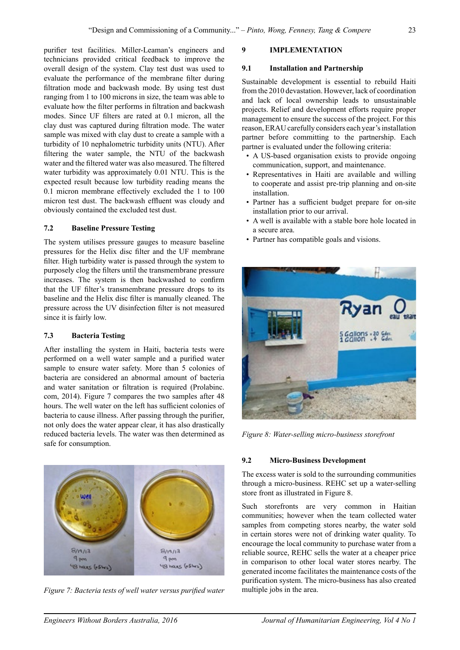purifier test facilities. Miller-Leaman's engineers and technicians provided critical feedback to improve the overall design of the system. Clay test dust was used to evaluate the performance of the membrane filter during filtration mode and backwash mode. By using test dust ranging from 1 to 100 microns in size, the team was able to evaluate how the filter performs in filtration and backwash modes. Since UF filters are rated at 0.1 micron, all the clay dust was captured during filtration mode. The water sample was mixed with clay dust to create a sample with a turbidity of 10 nephalometric turbidity units (NTU). After filtering the water sample, the NTU of the backwash water and the filtered water was also measured. The filtered water turbidity was approximately 0.01 NTU. This is the expected result because low turbidity reading means the 0.1 micron membrane effectively excluded the 1 to 100 micron test dust. The backwash effluent was cloudy and obviously contained the excluded test dust.

#### **7.2 Baseline Pressure Testing**

The system utilises pressure gauges to measure baseline pressures for the Helix disc filter and the UF membrane filter. High turbidity water is passed through the system to purposely clog the filters until the transmembrane pressure increases. The system is then backwashed to confirm that the UF filter's transmembrane pressure drops to its baseline and the Helix disc filter is manually cleaned. The pressure across the UV disinfection filter is not measured since it is fairly low.

#### **7.3 Bacteria Testing**

After installing the system in Haiti, bacteria tests were performed on a well water sample and a purified water sample to ensure water safety. More than 5 colonies of bacteria are considered an abnormal amount of bacteria and water sanitation or filtration is required (Prolabinc. com, 2014). Figure 7 compares the two samples after 48 hours. The well water on the left has sufficient colonies of bacteria to cause illness. After passing through the purifier, not only does the water appear clear, it has also drastically reduced bacteria levels. The water was then determined as safe for consumption.

# $8/19/13$  $3/19/13$ 9<sub>pm</sub> 9<sub>pm</sub> 49 haxs (+Shrs) 49 have (+shrs)

*Figure 7: Bacteria tests of well water versus purified water*

#### **9 IMPLEMENTATION**

#### **9.1 Installation and Partnership**

Sustainable development is essential to rebuild Haiti from the 2010 devastation. However, lack of coordination and lack of local ownership leads to unsustainable projects. Relief and development efforts require proper management to ensure the success of the project. For this reason, ERAU carefully considers each year's installation partner before committing to the partnership. Each partner is evaluated under the following criteria:

- A US-based organisation exists to provide ongoing communication, support, and maintenance.
- Representatives in Haiti are available and willing to cooperate and assist pre-trip planning and on-site installation.
- Partner has a sufficient budget prepare for on-site installation prior to our arrival.
- A well is available with a stable bore hole located in a secure area.
- Partner has compatible goals and visions.



*Figure 8: Water-selling micro-business storefront*

### **9.2 Micro-Business Development**

The excess water is sold to the surrounding communities through a micro-business. REHC set up a water-selling store front as illustrated in Figure 8.

Such storefronts are very common in Haitian communities; however when the team collected water samples from competing stores nearby, the water sold in certain stores were not of drinking water quality. To encourage the local community to purchase water from a reliable source, REHC sells the water at a cheaper price in comparison to other local water stores nearby. The generated income facilitates the maintenance costs of the purification system. The micro-business has also created multiple jobs in the area.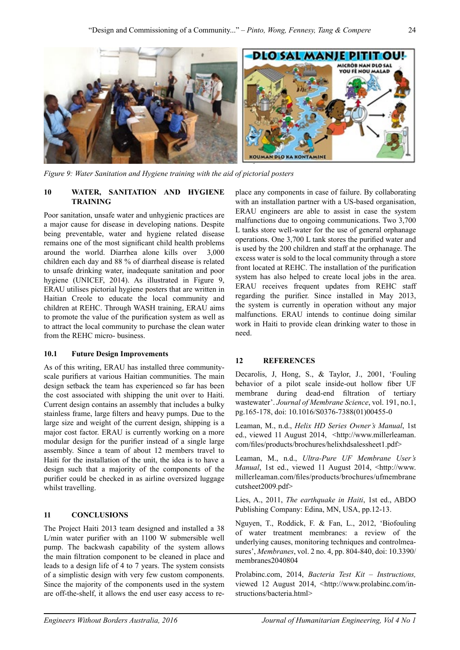

*Figure 9: Water Sanitation and Hygiene training with the aid of pictorial posters*

#### **10 WATER, SANITATION AND HYGIENE TRAINING**

Poor sanitation, unsafe water and unhygienic practices are a major cause for disease in developing nations. Despite being preventable, water and hygiene related disease remains one of the most significant child health problems around the world. Diarrhea alone kills over 3,000 children each day and 88 % of diarrheal disease is related to unsafe drinking water, inadequate sanitation and poor hygiene (UNICEF, 2014). As illustrated in Figure 9, ERAU utilises pictorial hygiene posters that are written in Haitian Creole to educate the local community and children at REHC. Through WASH training, ERAU aims to promote the value of the purification system as well as to attract the local community to purchase the clean water from the REHC micro- business.

#### **10.1 Future Design Improvements**

As of this writing, ERAU has installed three communityscale purifiers at various Haitian communities. The main design setback the team has experienced so far has been the cost associated with shipping the unit over to Haiti. Current design contains an assembly that includes a bulky stainless frame, large filters and heavy pumps. Due to the large size and weight of the current design, shipping is a major cost factor. ERAU is currently working on a more modular design for the purifier instead of a single large assembly. Since a team of about 12 members travel to Haiti for the installation of the unit, the idea is to have a design such that a majority of the components of the purifier could be checked in as airline oversized luggage whilst travelling.

### **11 CONCLUSIONS**

The Project Haiti 2013 team designed and installed a 38 L/min water purifier with an 1100 W submersible well pump. The backwash capability of the system allows the main filtration component to be cleaned in place and leads to a design life of 4 to 7 years. The system consists of a simplistic design with very few custom components. Since the majority of the components used in the system are off-the-shelf, it allows the end user easy access to replace any components in case of failure. By collaborating with an installation partner with a US-based organisation, ERAU engineers are able to assist in case the system malfunctions due to ongoing communications. Two 3,700 L tanks store well-water for the use of general orphanage operations. One 3,700 L tank stores the purified water and is used by the 200 children and staff at the orphanage. The excess water is sold to the local community through a store front located at REHC. The installation of the purification system has also helped to create local jobs in the area. ERAU receives frequent updates from REHC staff regarding the purifier. Since installed in May 2013, the system is currently in operation without any major malfunctions. ERAU intends to continue doing similar work in Haiti to provide clean drinking water to those in need.

### **12 REFERENCES**

Decarolis, J, Hong, S., & Taylor, J., 2001, 'Fouling behavior of a pilot scale inside-out hollow fiber UF membrane during dead-end filtration of tertiary wastewater'. *Journal of Membrane Science*, vol. 191, no.1, pg.165-178, doi: 10.1016/S0376-7388(01)00455-0

Leaman, M., n.d., *Helix HD Series Owner's Manual*, 1st ed., viewed 11 August 2014, <http://www.millerleaman. com/files/products/brochures/helixhdsalessheet1.pdf>

Leaman, M., n.d., *Ultra-Pure UF Membrane User's Manual*, 1st ed., viewed 11 August 2014, <http://www. millerleaman.com/files/products/brochures/ufmembrane cutsheet2009.pdf>

Lies, A., 2011, *The earthquake in Haiti*, 1st ed., ABDO Publishing Company: Edina, MN, USA, pp.12-13.

Nguyen, T., Roddick, F. & Fan, L., 2012, 'Biofouling of water treatment membranes: a review of the underlying causes, monitoring techniques and controlmeasures', *Membranes*, vol. 2 no. 4, pp. 804-840, doi: 10.3390/ membranes2040804

Prolabinc.com, 2014, *Bacteria Test Kit – Instructions,* viewed 12 August 2014, <http://www.prolabinc.com/instructions/bacteria.html>